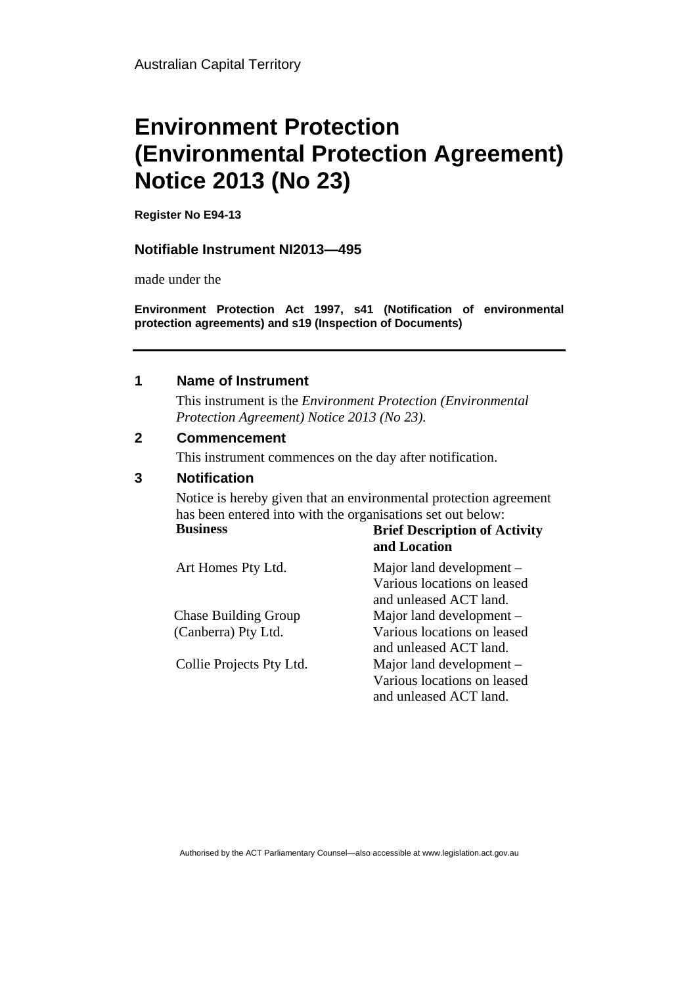# **Environment Protection (Environmental Protection Agreement) Notice 2013 (No 23)**

**Register No E94-13** 

### **Notifiable Instrument NI2013—495**

made under the

**Environment Protection Act 1997, s41 (Notification of environmental protection agreements) and s19 (Inspection of Documents)**

#### **1 Name of Instrument**

This instrument is the *Environment Protection (Environmental Protection Agreement) Notice 2013 (No 23).* 

### **2 Commencement**

This instrument commences on the day after notification.

### **3 Notification**

Notice is hereby given that an environmental protection agreement has been entered into with the organisations set out below: **Business Brief Description of Activity** 

|                             | and Location                |
|-----------------------------|-----------------------------|
| Art Homes Pty Ltd.          | Major land development –    |
|                             | Various locations on leased |
|                             | and unleased ACT land.      |
| <b>Chase Building Group</b> | Major land development –    |
| (Canberra) Pty Ltd.         | Various locations on leased |
|                             | and unleased ACT land.      |
| Collie Projects Pty Ltd.    | Major land development –    |
|                             | Various locations on leased |
|                             | and unleased ACT land.      |

Authorised by the ACT Parliamentary Counsel—also accessible at www.legislation.act.gov.au